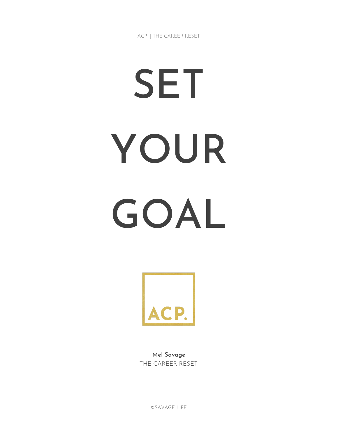ACP | THE CAREER RESET

# SET YOUR GOAL



Mel Savage THE CAREER RESET

©SAVAGE LIFE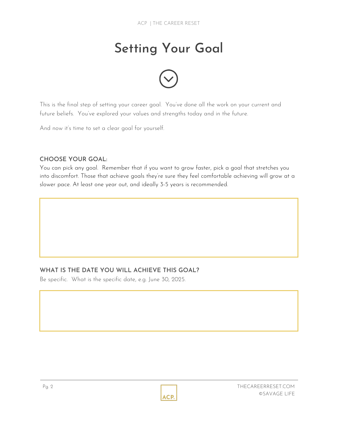# Setting Your Goal



This is the final step of setting your career goal. You've done all the work on your current and future beliefs. You've explored your values and strengths today and in the future.

And now it's time to set a clear goal for yourself.

#### CHOOSE YOUR GOAL:

You can pick any goal. Remember that if you want to grow faster, pick a goal that stretches you into discomfort. Those that achieve goals they're sure they feel comfortable achieving will grow at a slower pace. At least one year out, and ideally 3-5 years is recommended.

### WHAT IS THE DATE YOU WILL ACHIEVE THIS GOAL?

Be specific. What is the specific date, e.g. June 30, 2025.

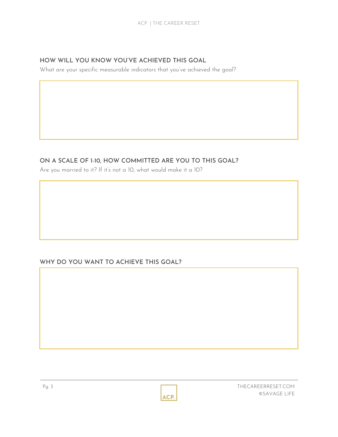#### HOW WILL YOU KNOW YOU'VE ACHIEVED THIS GOAL

What are your specific measurable indicators that you've achieved the goal?

## ON A SCALE OF 1-10, HOW COMMITTED ARE YOU TO THIS GOAL?

Are you married to it? If it's not a 10, what would make it a 10?

### WHY DO YOU WANT TO ACHIEVE THIS GOAL?

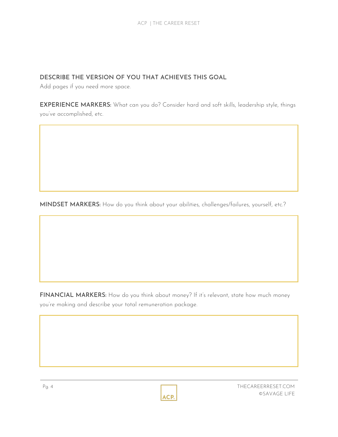#### DESCRIBE THE VERSION OF YOU THAT ACHIEVES THIS GOAL

Add pages if you need more space.

EXPERIENCE MARKERS: What can you do? Consider hard and soft skills, leadership style, things you've accomplished, etc.

MINDSET MARKERS: How do you think about your abilities, challenges/failures, yourself, etc.?

FINANCIAL MARKERS: How do you think about money? If it's relevant, state how much money you're making and describe your total remuneration package.

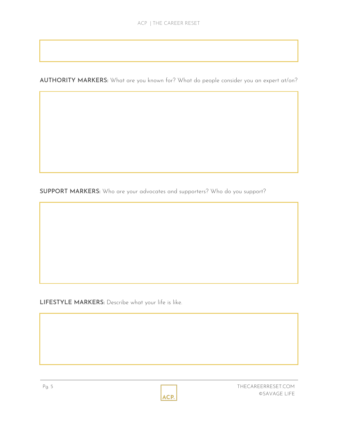AUTHORITY MARKERS: What are you known for? What do people consider you an expert at/on?

SUPPORT MARKERS: Who are your advocates and supporters? Who do you support?

LIFESTYLE MARKERS: Describe what your life is like.



Pg. 5 THECAREERRESET.COM ©SAVAGE LIFE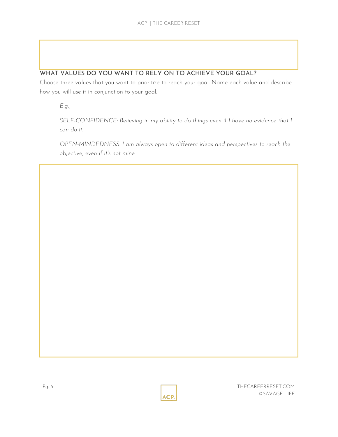## WHAT VALUES DO YOU WANT TO RELY ON TO ACHIEVE YOUR GOAL?

Choose three values that you want to prioritize to reach your goal. Name each value and describe how you will use it in conjunction to your goal.

*E.g.,*

*SELF-CONFIDENCE: Believing in my ability to do things even if I have no evidence that I can do it.*

*OPEN-MINDEDNESS: I am always open to different ideas and perspectives to reach the objective, even if it's not mine*

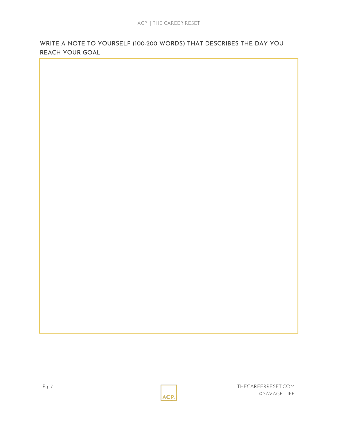WRITE A NOTE TO YOURSELF (100-200 WORDS) THAT DESCRIBES THE DAY YOU REACH YOUR GOAL